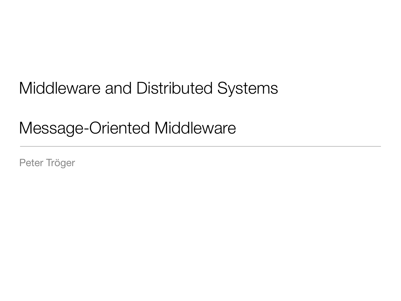# Middleware and Distributed Systems

# Message-Oriented Middleware

Peter Tröger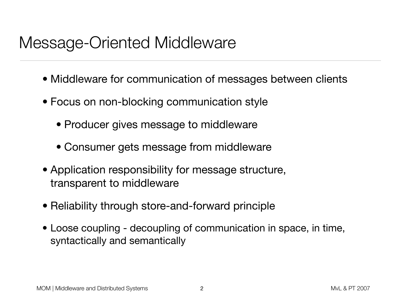#### Message-Oriented Middleware

- Middleware for communication of messages between clients
- Focus on non-blocking communication style
	- Producer gives message to middleware
	- Consumer gets message from middleware
- Application responsibility for message structure, transparent to middleware
- Reliability through store-and-forward principle
- Loose coupling decoupling of communication in space, in time, syntactically and semantically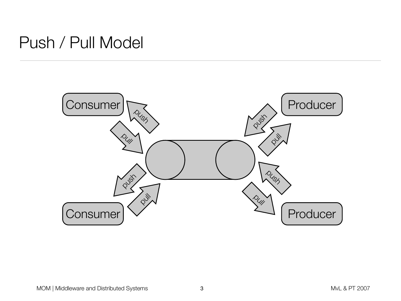#### Push / Pull Model

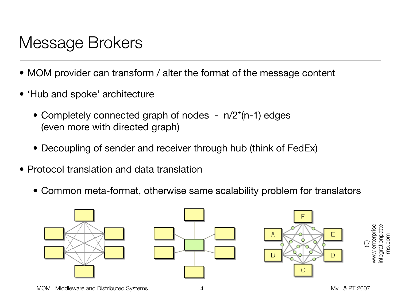# Message Brokers

- MOM provider can transform / alter the format of the message content
- 'Hub and spoke' architecture
	- Completely connected graph of nodes  $n/2^{(n-1)}$  edges (even more with directed graph)
	- Decoupling of sender and receiver through hub (think of FedEx)
- Protocol translation and data translation
	- Common meta-format, otherwise same scalability problem for translators

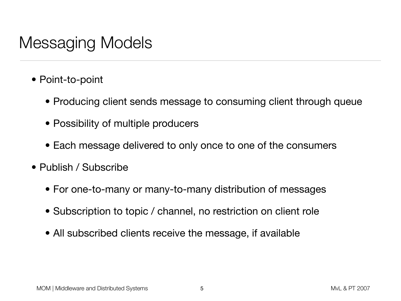### Messaging Models

- Point-to-point
	- Producing client sends message to consuming client through queue
	- Possibility of multiple producers
	- Each message delivered to only once to one of the consumers
- Publish / Subscribe
	- For one-to-many or many-to-many distribution of messages
	- Subscription to topic / channel, no restriction on client role
	- All subscribed clients receive the message, if available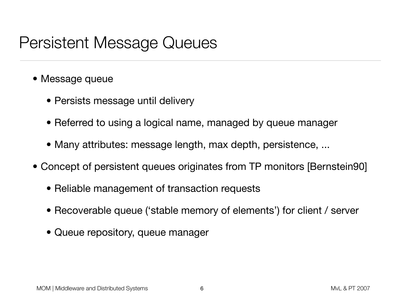### Persistent Message Queues

- Message queue
	- Persists message until delivery
	- Referred to using a logical name, managed by queue manager
	- Many attributes: message length, max depth, persistence, ...
- Concept of persistent queues originates from TP monitors [Bernstein90]
	- Reliable management of transaction requests
	- Recoverable queue ('stable memory of elements') for client / server
	- Queue repository, queue manager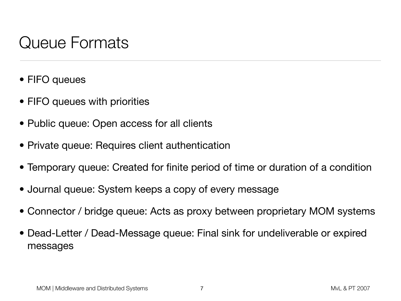## Queue Formats

- FIFO queues
- FIFO queues with priorities
- Public queue: Open access for all clients
- Private queue: Requires client authentication
- Temporary queue: Created for finite period of time or duration of a condition
- Journal queue: System keeps a copy of every message
- Connector / bridge queue: Acts as proxy between proprietary MOM systems
- Dead-Letter / Dead-Message queue: Final sink for undeliverable or expired messages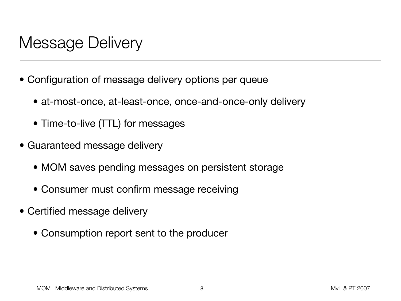### Message Delivery

- Configuration of message delivery options per queue
	- at-most-once, at-least-once, once-and-once-only delivery
	- Time-to-live (TTL) for messages
- Guaranteed message delivery
	- MOM saves pending messages on persistent storage
	- Consumer must confirm message receiving
- Certified message delivery
	- Consumption report sent to the producer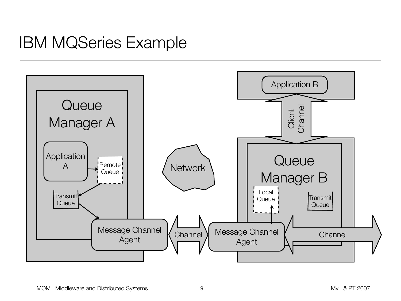#### IBM MQSeries Example

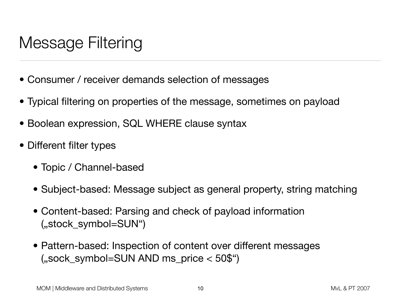# Message Filtering

- Consumer / receiver demands selection of messages
- Typical filtering on properties of the message, sometimes on payload
- Boolean expression, SQL WHERE clause syntax
- Different filter types
	- Topic / Channel-based
	- Subject-based: Message subject as general property, string matching
	- Content-based: Parsing and check of payload information ("stock symbol=SUN")
	- Pattern-based: Inspection of content over different messages  $($ "sock\_symbol=SUN AND ms\_price  $<$  50\$")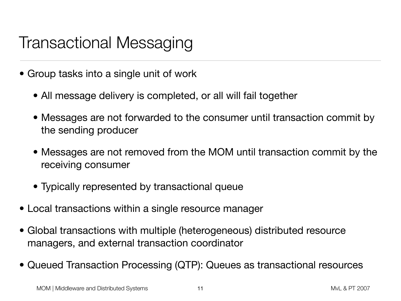# Transactional Messaging

- Group tasks into a single unit of work
	- All message delivery is completed, or all will fail together
	- Messages are not forwarded to the consumer until transaction commit by the sending producer
	- Messages are not removed from the MOM until transaction commit by the receiving consumer
	- Typically represented by transactional queue
- Local transactions within a single resource manager
- Global transactions with multiple (heterogeneous) distributed resource managers, and external transaction coordinator
- Queued Transaction Processing (QTP): Queues as transactional resources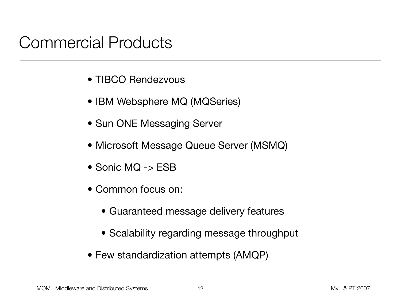#### Commercial Products

- TIBCO Rendezvous
- IBM Websphere MQ (MQSeries)
- Sun ONE Messaging Server
- Microsoft Message Queue Server (MSMQ)
- Sonic MQ -> ESB
- Common focus on:
	- Guaranteed message delivery features
	- Scalability regarding message throughput
- Few standardization attempts (AMQP)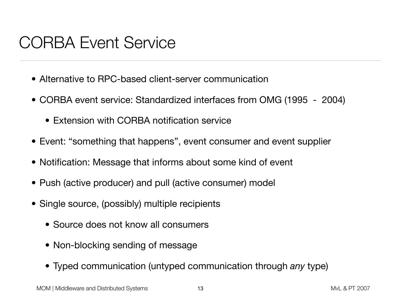### CORBA Event Service

- Alternative to RPC-based client-server communication
- CORBA event service: Standardized interfaces from OMG (1995 2004)
	- Extension with CORBA notification service
- Event: "something that happens", event consumer and event supplier
- Notification: Message that informs about some kind of event
- Push (active producer) and pull (active consumer) model
- Single source, (possibly) multiple recipients
	- Source does not know all consumers
	- Non-blocking sending of message
	- Typed communication (untyped communication through *any* type)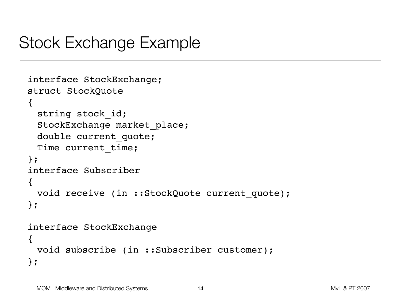### Stock Exchange Example

```
interface StockExchange;
struct StockQuote
\{string stock id;
 StockExchange market place;
 double current quote;
 Time current time;
};
interface Subscriber
\left\{ \right.void receive (in ::StockQuote current quote);
};
interface StockExchange
\{void subscribe (in ::Subscriber customer);
};
```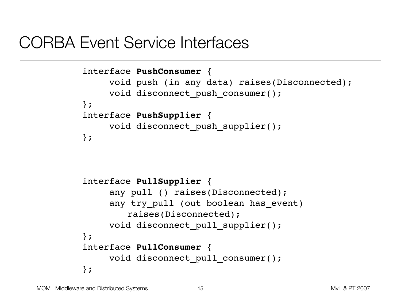#### CORBA Event Service Interfaces

```
interface PushConsumer {
     void push (in any data) raises(Disconnected);
     void disconnect_push_consumer();
};
interface PushSupplier {
     void disconnect push supplier();
};
```

```
interface PullSupplier {
     any pull () raises(Disconnected);
     any try pull (out boolean has event)
        raises(Disconnected);
     void disconnect pull supplier();
};
interface PullConsumer {
     void disconnect pull consumer();
};
```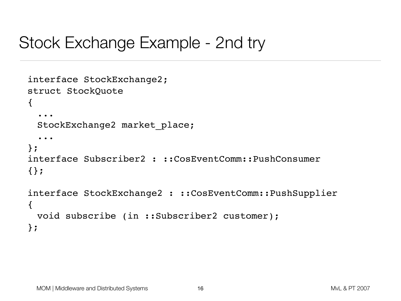### Stock Exchange Example - 2nd try

```
interface StockExchange2;
struct StockQuote
\{...
 StockExchange2 market_place;
  ...
};
interface Subscriber2 : ::CosEventComm::PushConsumer
{};
interface StockExchange2 : ::CosEventComm::PushSupplier
\{void subscribe (in ::Subscriber2 customer);
};
```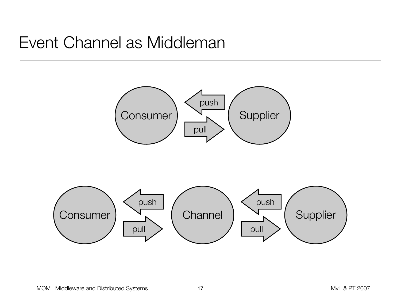### Event Channel as Middleman

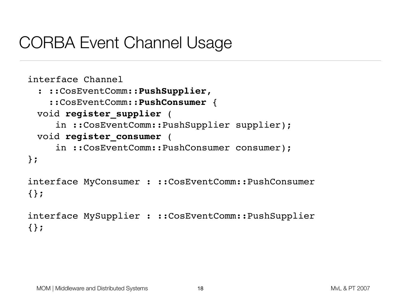### CORBA Event Channel Usage

```
interface Channel
 : ::CosEventComm::PushSupplier,
     ::CosEventComm::PushConsumer {
 void register_supplier (
     in ::CosEventComm::PushSupplier supplier);
 void register_consumer (
     in ::CosEventComm::PushConsumer consumer);
};
interface MyConsumer : ::CosEventComm::PushConsumer
{};
```

```
interface MySupplier : ::CosEventComm::PushSupplier
{};
```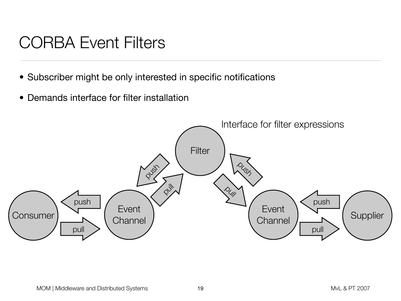# CORBA Event Filters

- Subscriber might be only interested in specific notifications
- Demands interface for filter installation

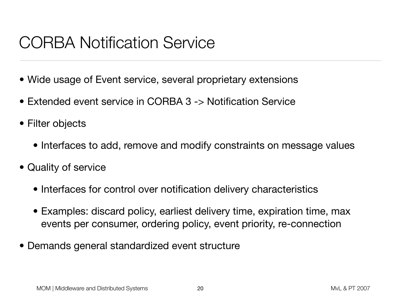## CORBA Notification Service

- Wide usage of Event service, several proprietary extensions
- Extended event service in CORBA 3 -> Notification Service
- Filter objects
	- Interfaces to add, remove and modify constraints on message values
- Quality of service
	- Interfaces for control over notification delivery characteristics
	- Examples: discard policy, earliest delivery time, expiration time, max events per consumer, ordering policy, event priority, re-connection
- Demands general standardized event structure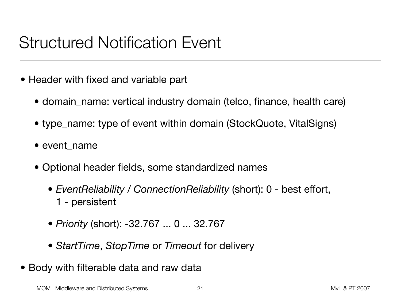# Structured Notification Event

- Header with fixed and variable part
	- domain\_name: vertical industry domain (telco, finance, health care)
	- type\_name: type of event within domain (StockQuote, VitalSigns)
	- event\_name
	- Optional header fields, some standardized names
		- *EventReliability / ConnectionReliability* (short): 0 best effort, 1 - persistent
		- *Priority* (short): -32.767 ... 0 ... 32.767
		- *StartTime*, *StopTime* or *Timeout* for delivery
- Body with filterable data and raw data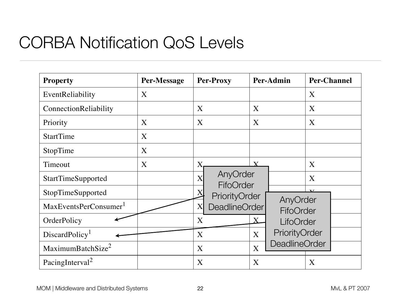#### $N$ lotification  $\bigcap_{\alpha} \bigcap_{\alpha} N$  is the property indicated by the first column  $N$ CORBA Notification QoS Levels

| <b>Property</b>                   | <b>Per-Message</b> | <b>Per-Proxy</b>                               | Per-Admin        |                         | <b>Per-Channel</b> |  |
|-----------------------------------|--------------------|------------------------------------------------|------------------|-------------------------|--------------------|--|
| EventReliability                  | X                  |                                                |                  |                         | X                  |  |
| ConnectionReliability             |                    | $\mathbf{X}$                                   | X                |                         | $\mathbf{X}$       |  |
| Priority                          | X                  | X                                              | X                |                         | X                  |  |
| <b>StartTime</b>                  | X                  |                                                |                  |                         |                    |  |
| StopTime                          | X                  |                                                |                  |                         |                    |  |
| Timeout                           | X                  | $\overline{\text{X}}$                          | $\mathbf{Y}$     | X                       |                    |  |
| StartTimeSupported                |                    | AnyOrder<br>$\overline{\text{X}}$<br>FifoOrder |                  |                         | X                  |  |
| StopTimeSupported                 |                    | PriorityOrder                                  |                  | $\overline{\mathbf{x}}$ |                    |  |
| MaxEventsPerConsumer <sup>1</sup> |                    | <b>DeadlineOrder</b><br>X                      |                  | AnyOrder<br>FifoOrder   |                    |  |
| OrderPolicy                       |                    | X                                              | $\rm X$          |                         | LifoOrder          |  |
| DiscardPolicy <sup>1</sup>        |                    | X                                              | $\boldsymbol{X}$ | PriorityOrder           |                    |  |
| MaximumBatchSize <sup>2</sup>     |                    | X                                              | $\boldsymbol{X}$ | <b>DeadlineOrder</b>    |                    |  |
| PacingInterval <sup>2</sup>       |                    | X                                              | X                |                         | X                  |  |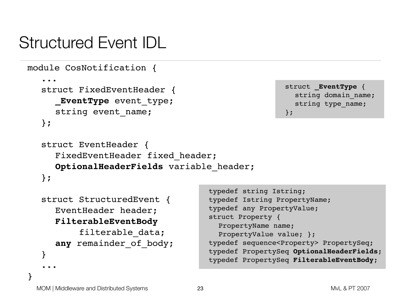# Structured Event IDL

```
module CosNotification {
   ...
  struct FixedEventHeader { 
     _EventType event_type;
     string event name;
  };
```

```
struct _EventType {
  string domain name;
  string type name;
};
```

```
struct EventHeader {
  FixedEventHeader fixed header;
  OptionalHeaderFields variable_header;
};
```

```
struct StructuredEvent {
   EventHeader header;
   FilterableEventBody
        filterable data;
   any remainder of body;
}
...
                                     typedef Istring PropertyName;
                                     typedef any PropertyValue;
                                     struct Property {
                                       PropertyName name;
                                       PropertyValue value; };
                                     typedef sequence<Property> PropertySeq;
                                     typedef PropertySeq OptionalHeaderFields;
                                     typedef PropertySeq FilterableEventBody;
```
}

typedef string Istring;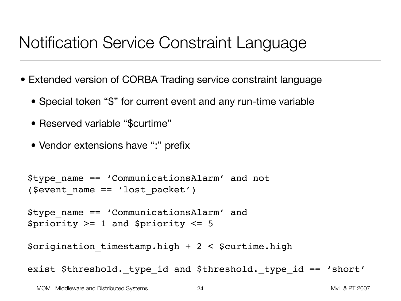# Notification Service Constraint Language

- Extended version of CORBA Trading service constraint language
	- Special token "\$" for current event and any run-time variable
	- Reserved variable "\$curtime"
	- Vendor extensions have ":" prefix

```
$type_name == 'CommunicationsAlarm' and not 
($event_name == 'lost_packet')
```

```
$type_name == 'CommunicationsAlarm' and 
$priority >= 1 and $priority <= 5
```
 $\texttt{Soriginal}$  timestamp.high + 2 <  $\texttt{Scurtime.high}$ 

exist \$threshold. type id and \$threshold. type id == 'short'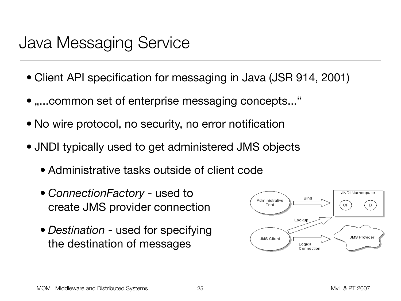#### Java Messaging Service *2*

- Client API specification for messaging in Java (JSR 914, 2001) messaging technology. It is also expected there will be major differences in how differences in how difference If  $\mathcal{L}$  is to be portable, they must be interested from the isolated from the isolated from the isolated from the isolated from the isolated from the isolated from the isolated from the isolated from the isolated from
- $\bullet$  ,.... common set of enterprise messaging concepts... " acclients. The client uses that are portable uses the portable  $\sim$ administrator creates them using provider-specific facilities. The specific facilities of  $\mathbf{r}$
- No wire protocol, no security, no error notification with a provider.
- JNDI typically used to get administered JMS objects Administered objects are placed in a JNDI namespace by an administrator. A
	- Administrative tasks outside of client code
	- *ConnectionFactory* used to create JMS provider connection
	- *Destination* used for specifying the destination of messages

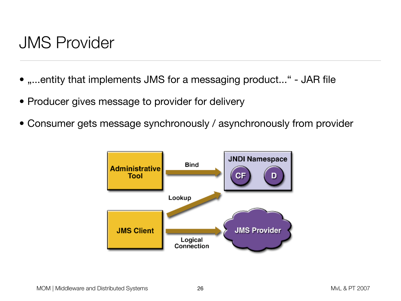#### JMS Provider

- "...entity that implements JMS for a messaging product..." JAR file
- Producer gives message to provider for delivery
- Consumer gets message synchronously / asynchronously from provider

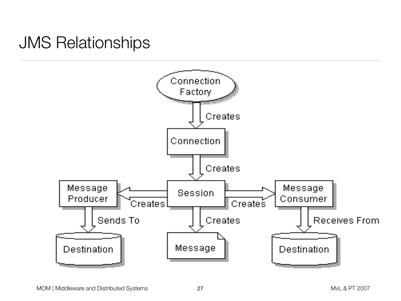#### JMS Relationships  $\mathbf{F}$  of  $\mathbf{F}$  object relationships of  $\mathbf{F}$

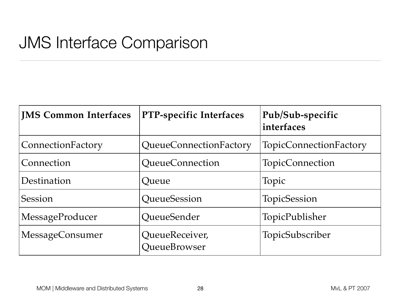# JMS Interface Comparison

| <b>JMS Common Interfaces</b> | PTP-specific Interfaces        | Pub/Sub-specific<br>interfaces |  |  |
|------------------------------|--------------------------------|--------------------------------|--|--|
| ConnectionFactory            | QueueConnectionFactory         | <b>TopicConnectionFactory</b>  |  |  |
| Connection                   | QueueConnection                | TopicConnection                |  |  |
| Destination                  | Queue                          | Topic                          |  |  |
| Session                      | QueueSession                   | TopicSession                   |  |  |
| MessageProducer              | QueueSender                    | TopicPublisher                 |  |  |
| MessageConsumer              | QueueReceiver,<br>QueueBrowser | TopicSubscriber                |  |  |

domain - PTP and Publishers a customized set of interfaces a customized set of interfaces for interfaces for i<br>The publishers for interfaces for interfaces for interfaces for interfaces for interfaces for interfaces for i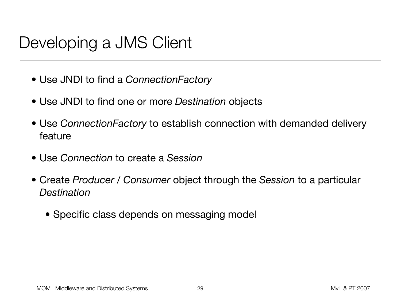# Developing a JMS Client

- Use JNDI to find a *ConnectionFactory*
- Use JNDI to find one or more *Destination* objects
- Use *ConnectionFactory* to establish connection with demanded delivery feature
- Use *Connection* to create a *Session*
- Create *Producer* / *Consumer* object through the *Session* to a particular *Destination*
	- Specific class depends on messaging model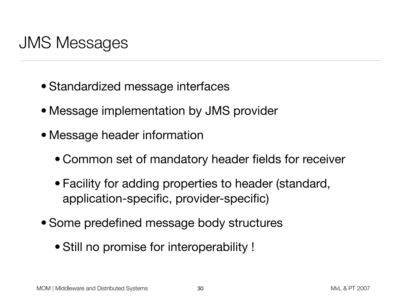# JMS Messages

- Standardized message interfaces
- Message implementation by JMS provider
- Message header information
	- Common set of mandatory header fields for receiver
	- Facility for adding properties to header (standard, application-specific, provider-specific)
- Some predefined message body structures
	- Still no promise for interoperability !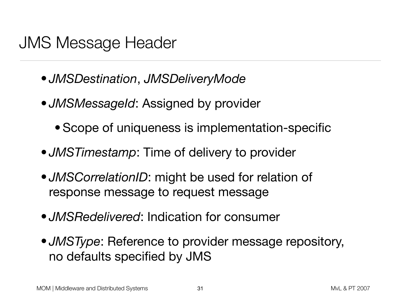#### JMS Message Header

- *JMSDestination*, *JMSDeliveryMode*
- *JMSMessageId*: Assigned by provider
	- Scope of uniqueness is implementation-specific
- *JMSTimestamp*: Time of delivery to provider
- *JMSCorrelationID*: might be used for relation of response message to request message
- *JMSRedelivered*: Indication for consumer
- *JMSType*: Reference to provider message repository, no defaults specified by JMS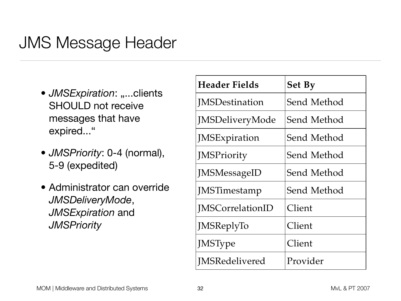# JMS Message Header

- *JMSExpiration*: "...clients SHOULD not receive messages that have expired..."
- *JMSPriority*: 0-4 (normal), 5-9 (expedited)
- Administrator can override *JMSDeliveryMode*, *JMSExpiration* and *JMSPriority*

| <b>Header Fields</b>    | <b>Set By</b>      |  |  |  |
|-------------------------|--------------------|--|--|--|
| <b>IMSDestination</b>   | Send Method        |  |  |  |
| JMSDeliveryMode         | Send Method        |  |  |  |
| JMSExpiration           | Send Method        |  |  |  |
| <b>JMSPriority</b>      | <b>Send Method</b> |  |  |  |
| <b>JMSMessageID</b>     | <b>Send Method</b> |  |  |  |
| JMSTimestamp            | <b>Send Method</b> |  |  |  |
| <b>IMSCorrelationID</b> | Client             |  |  |  |
| JMSReplyTo              | Client             |  |  |  |
| <b>JMSType</b>          | Client             |  |  |  |
| <b>JMSRedelivered</b>   | Provider           |  |  |  |

*Table 3-1* Message Header Field Value Sent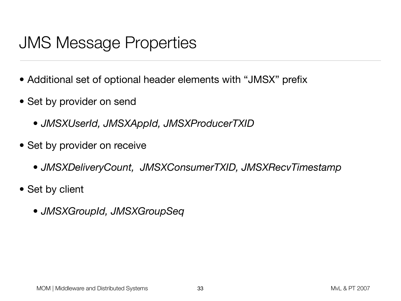# JMS Message Properties

- Additional set of optional header elements with "JMSX" prefix
- Set by provider on send
	- *JMSXUserId, JMSXAppId, JMSXProducerTXID*
- Set by provider on receive
	- *• JMSXDeliveryCount, JMSXConsumerTXID, JMSXRecvTimestamp*
- Set by client
	- *• JMSXGroupId, JMSXGroupSeq*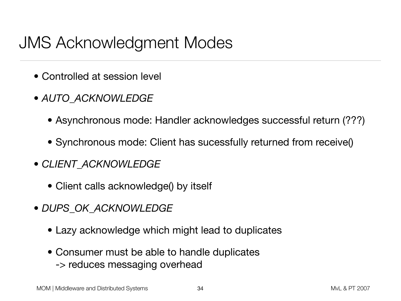### JMS Acknowledgment Modes

- Controlled at session level
- *• AUTO\_ACKNOWLEDGE*
	- Asynchronous mode: Handler acknowledges successful return (???)
	- Synchronous mode: Client has sucessfully returned from receive()
- *CLIENT\_ACKNOWLEDGE*
	- Client calls acknowledge() by itself
- *DUPS\_OK\_ACKNOWLEDGE*
	- Lazy acknowledge which might lead to duplicates
	- Consumer must be able to handle duplicates -> reduces messaging overhead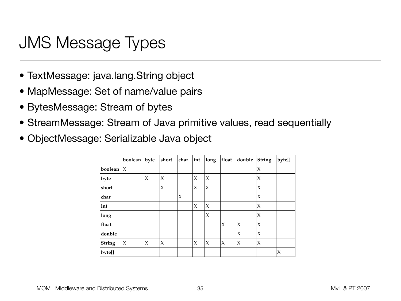# JMS Message Types

- TextMessage: java.lang.String object
- MapMessage: Set of name/value pairs
- BytesMessage: Stream of bytes *3*
- StreamMessage: Stream of Java primitive values, read sequentially
- ObjectMessage: Serializable Java object

|         | boolean      | byte   | short | char                | int                 | long   | float  | double              | <b>String</b>       | byte[] |
|---------|--------------|--------|-------|---------------------|---------------------|--------|--------|---------------------|---------------------|--------|
| boolean | $\mathsf{X}$ |        |       |                     |                     |        |        |                     | $\boldsymbol{\chi}$ |        |
| byte    |              | X      | X     |                     | $\boldsymbol{\chi}$ | X      |        |                     | $\boldsymbol{\chi}$ |        |
| short   |              |        | X     |                     | X                   | X      |        |                     | $\boldsymbol{\chi}$ |        |
| char    |              |        |       | $\boldsymbol{\chi}$ |                     |        |        |                     | $\boldsymbol{\chi}$ |        |
| int     |              |        |       |                     | $\boldsymbol{\chi}$ | $\chi$ |        |                     | $\chi$              |        |
| long    |              |        |       |                     |                     | X      |        |                     | $\chi$              |        |
| float   |              |        |       |                     |                     |        | X      | $\boldsymbol{\chi}$ | $\boldsymbol{\chi}$ |        |
| double  |              |        |       |                     |                     |        |        | $\boldsymbol{\chi}$ | $\boldsymbol{\chi}$ |        |
| String  | X            | $\chi$ | X     |                     | $\chi$              | $\chi$ | $\chi$ | X                   | $\chi$              |        |
| byte[]  |              |        |       |                     |                     |        |        |                     |                     | X      |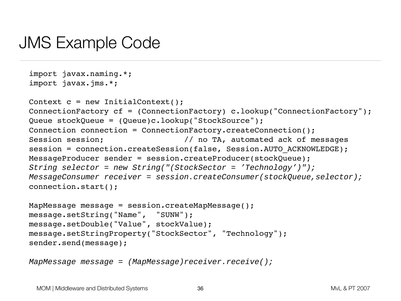#### JMS Example Code

```
import javax.naming.*; 
import javax.jms.*; 
Context c = new InitialContext();
ConnectionFactory cf = (ConnectionFactory) c.lookup("ConnectionFactory");
Queue stockQueue = (Queue)c.lookup("StockSource"); 
Connection connection = ConnectionFactory.createConnection();
Session session; \frac{1}{100} no TA, automated ack of messages
session = connection.createSession(false, Session.AUTO ACKNOWLEDGE);
MessageProducer sender = session.createProducer(stockQueue);
String selector = new String("(StockSector = 'Technology')"); 
MessageConsumer receiver = session.createConsumer(stockQueue,selector); 
connection.start();
```

```
MapMessage message = session.createMapMessage(); 
message.setString("Name", "SUNW"); 
message.setDouble("Value", stockValue);
message.setStringProperty("StockSector", "Technology"); 
sender.send(message);
```

```
MapMessage message = (MapMessage)receiver.receive();
```